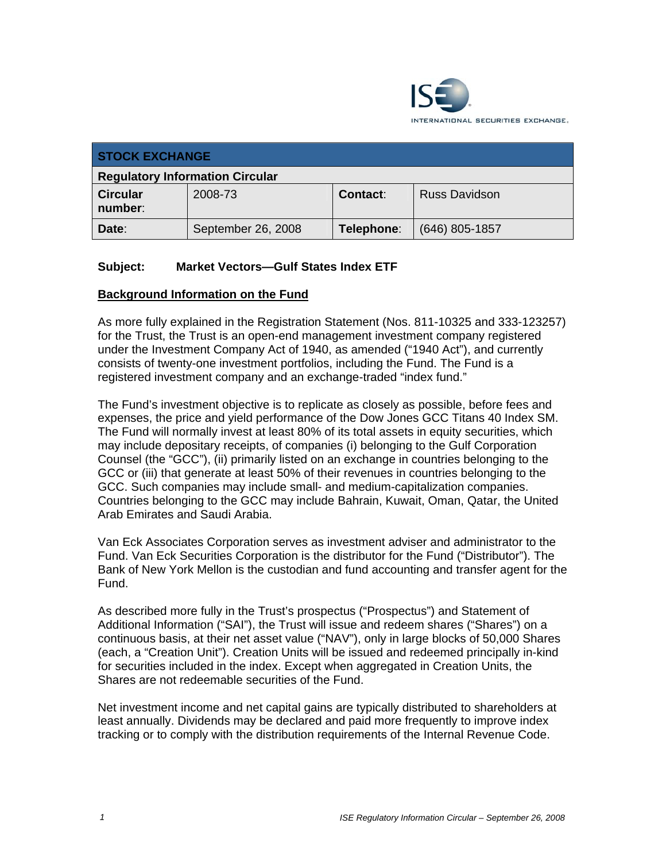

| <b>STOCK EXCHANGE</b>                  |                    |            |                      |
|----------------------------------------|--------------------|------------|----------------------|
| <b>Regulatory Information Circular</b> |                    |            |                      |
| <b>Circular</b><br>number:             | 2008-73            | Contact:   | <b>Russ Davidson</b> |
| Date:                                  | September 26, 2008 | Telephone: | $(646)$ 805-1857     |

# **Subject: Market Vectors—Gulf States Index ETF**

#### **Background Information on the Fund**

As more fully explained in the Registration Statement (Nos. 811-10325 and 333-123257) for the Trust, the Trust is an open-end management investment company registered under the Investment Company Act of 1940, as amended ("1940 Act"), and currently consists of twenty-one investment portfolios, including the Fund. The Fund is a registered investment company and an exchange-traded "index fund."

The Fund's investment objective is to replicate as closely as possible, before fees and expenses, the price and yield performance of the Dow Jones GCC Titans 40 Index SM. The Fund will normally invest at least 80% of its total assets in equity securities, which may include depositary receipts, of companies (i) belonging to the Gulf Corporation Counsel (the "GCC"), (ii) primarily listed on an exchange in countries belonging to the GCC or (iii) that generate at least 50% of their revenues in countries belonging to the GCC. Such companies may include small- and medium-capitalization companies. Countries belonging to the GCC may include Bahrain, Kuwait, Oman, Qatar, the United Arab Emirates and Saudi Arabia.

Van Eck Associates Corporation serves as investment adviser and administrator to the Fund. Van Eck Securities Corporation is the distributor for the Fund ("Distributor"). The Bank of New York Mellon is the custodian and fund accounting and transfer agent for the Fund.

As described more fully in the Trust's prospectus ("Prospectus") and Statement of Additional Information ("SAI"), the Trust will issue and redeem shares ("Shares") on a continuous basis, at their net asset value ("NAV"), only in large blocks of 50,000 Shares (each, a "Creation Unit"). Creation Units will be issued and redeemed principally in-kind for securities included in the index. Except when aggregated in Creation Units, the Shares are not redeemable securities of the Fund.

Net investment income and net capital gains are typically distributed to shareholders at least annually. Dividends may be declared and paid more frequently to improve index tracking or to comply with the distribution requirements of the Internal Revenue Code.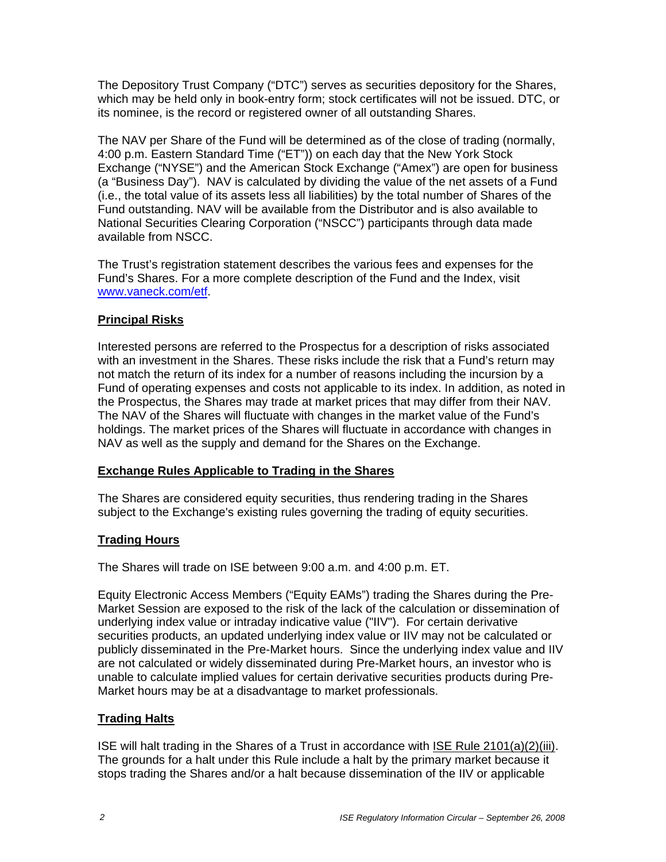The Depository Trust Company ("DTC") serves as securities depository for the Shares, which may be held only in book-entry form; stock certificates will not be issued. DTC, or its nominee, is the record or registered owner of all outstanding Shares.

The NAV per Share of the Fund will be determined as of the close of trading (normally, 4:00 p.m. Eastern Standard Time ("ET")) on each day that the New York Stock Exchange ("NYSE") and the American Stock Exchange ("Amex") are open for business (a "Business Day"). NAV is calculated by dividing the value of the net assets of a Fund (i.e., the total value of its assets less all liabilities) by the total number of Shares of the Fund outstanding. NAV will be available from the Distributor and is also available to National Securities Clearing Corporation ("NSCC") participants through data made available from NSCC.

The Trust's registration statement describes the various fees and expenses for the Fund's Shares. For a more complete description of the Fund and the Index, visit www.vaneck.com/etf.

# **Principal Risks**

Interested persons are referred to the Prospectus for a description of risks associated with an investment in the Shares. These risks include the risk that a Fund's return may not match the return of its index for a number of reasons including the incursion by a Fund of operating expenses and costs not applicable to its index. In addition, as noted in the Prospectus, the Shares may trade at market prices that may differ from their NAV. The NAV of the Shares will fluctuate with changes in the market value of the Fund's holdings. The market prices of the Shares will fluctuate in accordance with changes in NAV as well as the supply and demand for the Shares on the Exchange.

### **Exchange Rules Applicable to Trading in the Shares**

The Shares are considered equity securities, thus rendering trading in the Shares subject to the Exchange's existing rules governing the trading of equity securities.

# **Trading Hours**

The Shares will trade on ISE between 9:00 a.m. and 4:00 p.m. ET.

Equity Electronic Access Members ("Equity EAMs") trading the Shares during the Pre-Market Session are exposed to the risk of the lack of the calculation or dissemination of underlying index value or intraday indicative value ("IIV"). For certain derivative securities products, an updated underlying index value or IIV may not be calculated or publicly disseminated in the Pre-Market hours. Since the underlying index value and IIV are not calculated or widely disseminated during Pre-Market hours, an investor who is unable to calculate implied values for certain derivative securities products during Pre-Market hours may be at a disadvantage to market professionals.

### **Trading Halts**

ISE will halt trading in the Shares of a Trust in accordance with ISE Rule 2101(a)(2)(iii). The grounds for a halt under this Rule include a halt by the primary market because it stops trading the Shares and/or a halt because dissemination of the IIV or applicable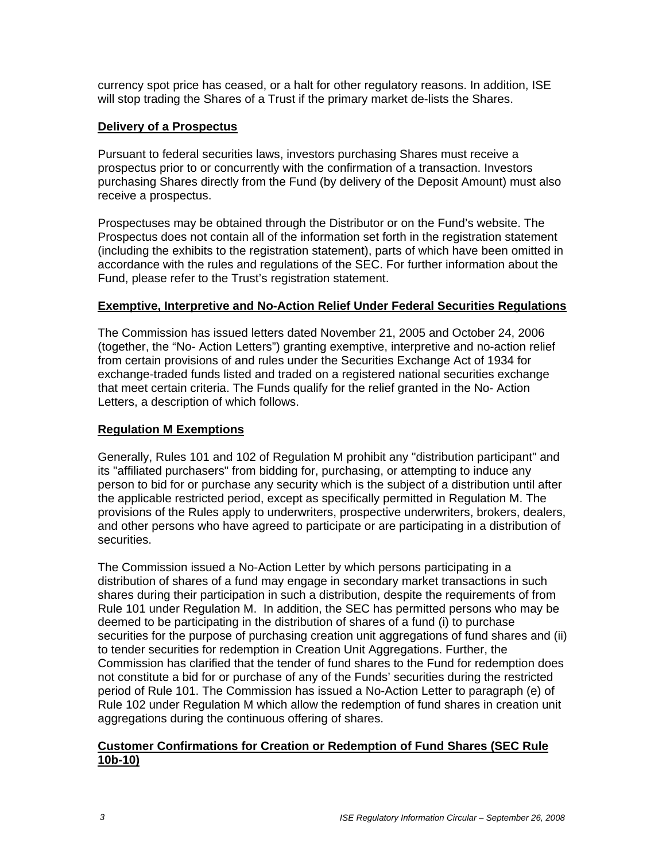currency spot price has ceased, or a halt for other regulatory reasons. In addition, ISE will stop trading the Shares of a Trust if the primary market de-lists the Shares.

### **Delivery of a Prospectus**

Pursuant to federal securities laws, investors purchasing Shares must receive a prospectus prior to or concurrently with the confirmation of a transaction. Investors purchasing Shares directly from the Fund (by delivery of the Deposit Amount) must also receive a prospectus.

Prospectuses may be obtained through the Distributor or on the Fund's website. The Prospectus does not contain all of the information set forth in the registration statement (including the exhibits to the registration statement), parts of which have been omitted in accordance with the rules and regulations of the SEC. For further information about the Fund, please refer to the Trust's registration statement.

#### **Exemptive, Interpretive and No-Action Relief Under Federal Securities Regulations**

The Commission has issued letters dated November 21, 2005 and October 24, 2006 (together, the "No- Action Letters") granting exemptive, interpretive and no-action relief from certain provisions of and rules under the Securities Exchange Act of 1934 for exchange-traded funds listed and traded on a registered national securities exchange that meet certain criteria. The Funds qualify for the relief granted in the No- Action Letters, a description of which follows.

### **Regulation M Exemptions**

Generally, Rules 101 and 102 of Regulation M prohibit any "distribution participant" and its "affiliated purchasers" from bidding for, purchasing, or attempting to induce any person to bid for or purchase any security which is the subject of a distribution until after the applicable restricted period, except as specifically permitted in Regulation M. The provisions of the Rules apply to underwriters, prospective underwriters, brokers, dealers, and other persons who have agreed to participate or are participating in a distribution of securities.

The Commission issued a No-Action Letter by which persons participating in a distribution of shares of a fund may engage in secondary market transactions in such shares during their participation in such a distribution, despite the requirements of from Rule 101 under Regulation M. In addition, the SEC has permitted persons who may be deemed to be participating in the distribution of shares of a fund (i) to purchase securities for the purpose of purchasing creation unit aggregations of fund shares and (ii) to tender securities for redemption in Creation Unit Aggregations. Further, the Commission has clarified that the tender of fund shares to the Fund for redemption does not constitute a bid for or purchase of any of the Funds' securities during the restricted period of Rule 101. The Commission has issued a No-Action Letter to paragraph (e) of Rule 102 under Regulation M which allow the redemption of fund shares in creation unit aggregations during the continuous offering of shares.

#### **Customer Confirmations for Creation or Redemption of Fund Shares (SEC Rule 10b-10)**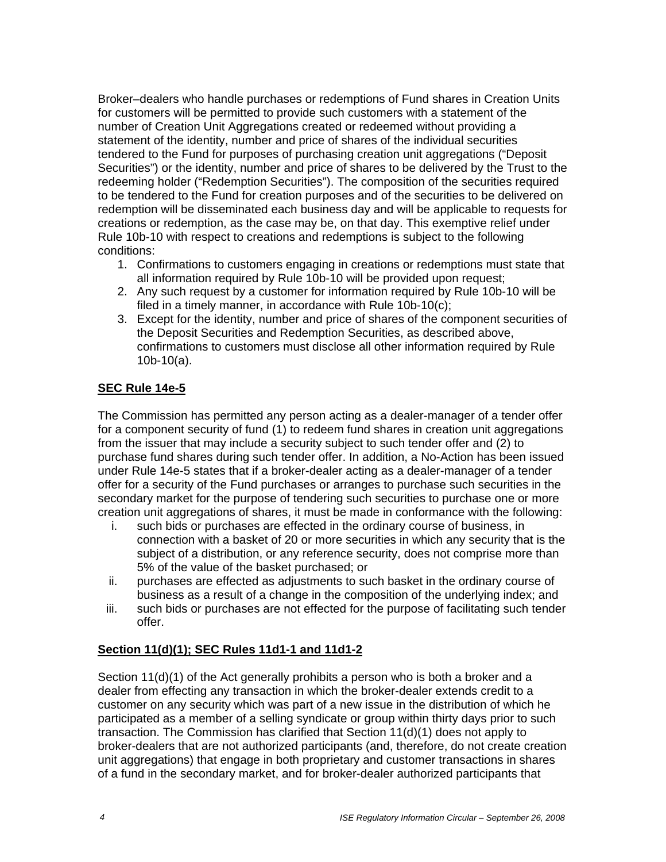Broker–dealers who handle purchases or redemptions of Fund shares in Creation Units for customers will be permitted to provide such customers with a statement of the number of Creation Unit Aggregations created or redeemed without providing a statement of the identity, number and price of shares of the individual securities tendered to the Fund for purposes of purchasing creation unit aggregations ("Deposit Securities") or the identity, number and price of shares to be delivered by the Trust to the redeeming holder ("Redemption Securities"). The composition of the securities required to be tendered to the Fund for creation purposes and of the securities to be delivered on redemption will be disseminated each business day and will be applicable to requests for creations or redemption, as the case may be, on that day. This exemptive relief under Rule 10b-10 with respect to creations and redemptions is subject to the following conditions:

- 1. Confirmations to customers engaging in creations or redemptions must state that all information required by Rule 10b-10 will be provided upon request;
- 2. Any such request by a customer for information required by Rule 10b-10 will be filed in a timely manner, in accordance with Rule 10b-10(c);
- 3. Except for the identity, number and price of shares of the component securities of the Deposit Securities and Redemption Securities, as described above, confirmations to customers must disclose all other information required by Rule 10b-10(a).

# **SEC Rule 14e-5**

The Commission has permitted any person acting as a dealer-manager of a tender offer for a component security of fund (1) to redeem fund shares in creation unit aggregations from the issuer that may include a security subject to such tender offer and (2) to purchase fund shares during such tender offer. In addition, a No-Action has been issued under Rule 14e-5 states that if a broker-dealer acting as a dealer-manager of a tender offer for a security of the Fund purchases or arranges to purchase such securities in the secondary market for the purpose of tendering such securities to purchase one or more creation unit aggregations of shares, it must be made in conformance with the following:

- i. such bids or purchases are effected in the ordinary course of business, in connection with a basket of 20 or more securities in which any security that is the subject of a distribution, or any reference security, does not comprise more than 5% of the value of the basket purchased; or
- ii. purchases are effected as adjustments to such basket in the ordinary course of business as a result of a change in the composition of the underlying index; and
- iii. such bids or purchases are not effected for the purpose of facilitating such tender offer.

### **Section 11(d)(1); SEC Rules 11d1-1 and 11d1-2**

Section 11(d)(1) of the Act generally prohibits a person who is both a broker and a dealer from effecting any transaction in which the broker-dealer extends credit to a customer on any security which was part of a new issue in the distribution of which he participated as a member of a selling syndicate or group within thirty days prior to such transaction. The Commission has clarified that Section 11(d)(1) does not apply to broker-dealers that are not authorized participants (and, therefore, do not create creation unit aggregations) that engage in both proprietary and customer transactions in shares of a fund in the secondary market, and for broker-dealer authorized participants that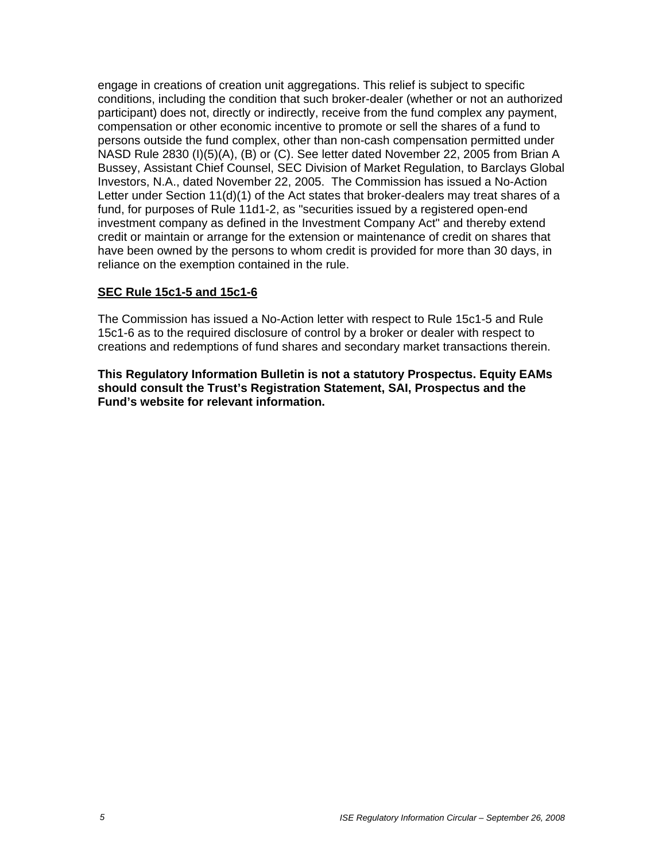engage in creations of creation unit aggregations. This relief is subject to specific conditions, including the condition that such broker-dealer (whether or not an authorized participant) does not, directly or indirectly, receive from the fund complex any payment, compensation or other economic incentive to promote or sell the shares of a fund to persons outside the fund complex, other than non-cash compensation permitted under NASD Rule 2830 (I)(5)(A), (B) or (C). See letter dated November 22, 2005 from Brian A Bussey, Assistant Chief Counsel, SEC Division of Market Regulation, to Barclays Global Investors, N.A., dated November 22, 2005. The Commission has issued a No-Action Letter under Section 11(d)(1) of the Act states that broker-dealers may treat shares of a fund, for purposes of Rule 11d1-2, as "securities issued by a registered open-end investment company as defined in the Investment Company Act" and thereby extend credit or maintain or arrange for the extension or maintenance of credit on shares that have been owned by the persons to whom credit is provided for more than 30 days, in reliance on the exemption contained in the rule.

#### **SEC Rule 15c1-5 and 15c1-6**

The Commission has issued a No-Action letter with respect to Rule 15c1-5 and Rule 15c1-6 as to the required disclosure of control by a broker or dealer with respect to creations and redemptions of fund shares and secondary market transactions therein.

**This Regulatory Information Bulletin is not a statutory Prospectus. Equity EAMs should consult the Trust's Registration Statement, SAI, Prospectus and the Fund's website for relevant information.**